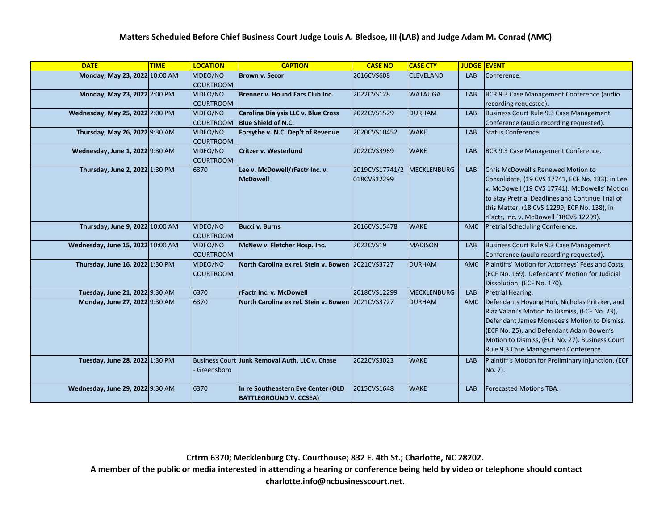| <b>DATE</b>                       | <b>TIME</b> | <b>LOCATION</b>              | <b>CAPTION</b>                                                    | <b>CASE NO</b>                | <b>CASE CTY</b>    | <b>JUDGE</b> | <b>EVENT</b>                                                                                                                                                                                                                                                                           |
|-----------------------------------|-------------|------------------------------|-------------------------------------------------------------------|-------------------------------|--------------------|--------------|----------------------------------------------------------------------------------------------------------------------------------------------------------------------------------------------------------------------------------------------------------------------------------------|
| Monday, May 23, 2022 10:00 AM     |             | VIDEO/NO<br><b>COURTROOM</b> | <b>Brown v. Secor</b>                                             | 2016CVS608                    | <b>CLEVELAND</b>   | <b>LAB</b>   | Conference.                                                                                                                                                                                                                                                                            |
| Monday, May 23, 2022 2:00 PM      |             | VIDEO/NO<br><b>COURTROOM</b> | Brenner v. Hound Ears Club Inc.                                   | 2022CVS128                    | <b>WATAUGA</b>     | <b>LAB</b>   | BCR 9.3 Case Management Conference (audio<br>recording requested).                                                                                                                                                                                                                     |
| Wednesday, May 25, 2022 2:00 PM   |             | VIDEO/NO<br><b>COURTROOM</b> | Carolina Dialysis LLC v. Blue Cross<br><b>Blue Shield of N.C.</b> | 2022CVS1529                   | <b>DURHAM</b>      | LAB          | Business Court Rule 9.3 Case Management<br>Conference (audio recording requested).                                                                                                                                                                                                     |
| Thursday, May 26, 2022 9:30 AM    |             | VIDEO/NO<br><b>COURTROOM</b> | Forsythe v. N.C. Dep't of Revenue                                 | 2020CVS10452                  | <b>WAKE</b>        | <b>LAB</b>   | Status Conference.                                                                                                                                                                                                                                                                     |
| Wednesday, June 1, 2022 9:30 AM   |             | VIDEO/NO<br><b>COURTROOM</b> | <b>Critzer v. Westerlund</b>                                      | 2022CVS3969                   | <b>WAKE</b>        | <b>LAB</b>   | BCR 9.3 Case Management Conference.                                                                                                                                                                                                                                                    |
| Thursday, June 2, 2022 1:30 PM    |             | 6370                         | Lee v. McDowell/rFactr Inc. v.<br><b>McDowell</b>                 | 2019CVS17741/2<br>018CVS12299 | <b>MECKLENBURG</b> | <b>LAB</b>   | Chris McDowell's Renewed Motion to<br>Consolidate, (19 CVS 17741, ECF No. 133), in Lee<br>v. McDowell (19 CVS 17741). McDowells' Motion<br>to Stay Pretrial Deadlines and Continue Trial of<br>this Matter, (18 CVS 12299, ECF No. 138), in<br>rFactr, Inc. v. McDowell (18CVS 12299). |
| Thursday, June 9, 2022 10:00 AM   |             | VIDEO/NO<br><b>COURTROOM</b> | <b>Bucci v. Burns</b>                                             | 2016CVS15478                  | <b>WAKE</b>        | <b>AMC</b>   | Pretrial Scheduling Conference.                                                                                                                                                                                                                                                        |
| Wednesday, June 15, 2022 10:00 AM |             | VIDEO/NO<br><b>COURTROOM</b> | McNew v. Fletcher Hosp. Inc.                                      | 2022CVS19                     | <b>MADISON</b>     | <b>LAB</b>   | Business Court Rule 9.3 Case Management<br>Conference (audio recording requested).                                                                                                                                                                                                     |
| Thursday, June 16, 2022 1:30 PM   |             | VIDEO/NO<br><b>COURTROOM</b> | North Carolina ex rel. Stein v. Bowen 2021CVS3727                 |                               | <b>DURHAM</b>      | AMC          | Plaintiffs' Motion for Attorneys' Fees and Costs,<br>(ECF No. 169). Defendants' Motion for Judicial<br>Dissolution, (ECF No. 170).                                                                                                                                                     |
| Tuesday, June 21, 2022 9:30 AM    |             | 6370                         | <b>rFactr Inc. v. McDowell</b>                                    | 2018CVS12299                  | <b>MECKLENBURG</b> | <b>LAB</b>   | Pretrial Hearing.                                                                                                                                                                                                                                                                      |
| Monday, June 27, 2022 9:30 AM     |             | 6370                         | North Carolina ex rel. Stein v. Bowen 2021CVS3727                 |                               | <b>DURHAM</b>      | AMC          | Defendants Hoyung Huh, Nicholas Pritzker, and<br>Riaz Valani's Motion to Dismiss, (ECF No. 23),<br>Defendant James Monsees's Motion to Dismiss,<br>(ECF No. 25), and Defendant Adam Bowen's<br>Motion to Dismiss, (ECF No. 27). Business Court<br>Rule 9.3 Case Management Conference. |
| Tuesday, June 28, 2022 1:30 PM    |             | Greensboro                   | Business Court Junk Removal Auth. LLC v. Chase                    | 2022CVS3023                   | <b>WAKE</b>        | <b>LAB</b>   | Plaintiff's Motion for Preliminary Injunction, (ECF<br>No. 7).                                                                                                                                                                                                                         |
| Wednesday, June 29, 2022 9:30 AM  |             | 6370                         | In re Southeastern Eye Center (OLD<br>BATTLEGROUND V. CCSEA)      | 2015CVS1648                   | <b>WAKE</b>        | LAB          | <b>Forecasted Motions TBA.</b>                                                                                                                                                                                                                                                         |

**Crtrm 6370; Mecklenburg Cty. Courthouse; 832 E. 4th St.; Charlotte, NC 28202.**

A member of the public or media interested in attending a hearing or conference being held by video or telephone should contact **charlotte.info@ncbusinesscourt.net.**